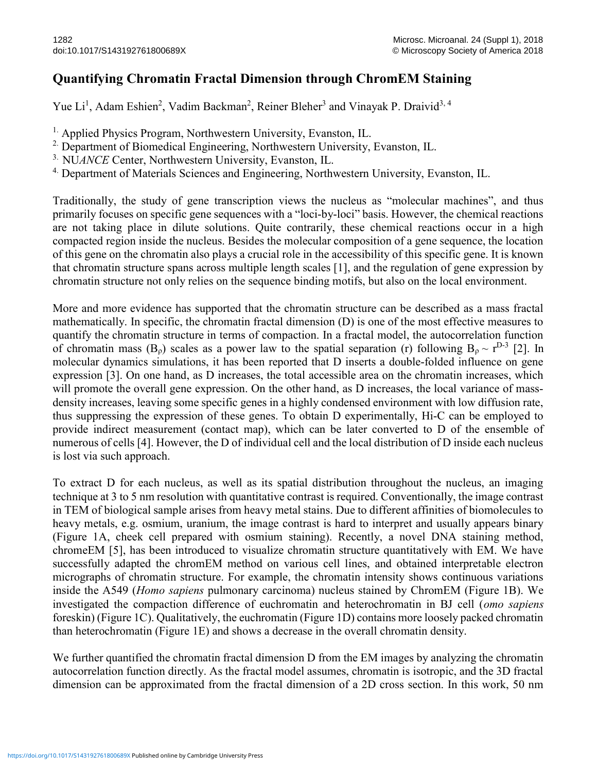## Quantifying Chromatin Fractal Dimension through ChromEM Staining

Yue Li<sup>1</sup>, Adam Eshien<sup>2</sup>, Vadim Backman<sup>2</sup>, Reiner Bleher<sup>3</sup> and Vinayak P. Draivid<sup>3, 4</sup>

<sup>1.</sup> Applied Physics Program, Northwestern University, Evanston, IL.

- <sup>2.</sup> Department of Biomedical Engineering, Northwestern University, Evanston, IL.
- <sup>3.</sup> NUANCE Center, Northwestern University, Evanston, IL.
- <sup>4.</sup> Department of Materials Sciences and Engineering, Northwestern University, Evanston, IL.

Traditionally, the study of gene transcription views the nucleus as "molecular machines", and thus primarily focuses on specific gene sequences with a "loci-by-loci" basis. However, the chemical reactions are not taking place in dilute solutions. Quite contrarily, these chemical reactions occur in a high compacted region inside the nucleus. Besides the molecular composition of a gene sequence, the location of this gene on the chromatin also plays a crucial role in the accessibility of this specific gene. It is known that chromatin structure spans across multiple length scales [1], and the regulation of gene expression by chromatin structure not only relies on the sequence binding motifs, but also on the local environment.

More and more evidence has supported that the chromatin structure can be described as a mass fractal mathematically. In specific, the chromatin fractal dimension (D) is one of the most effective measures to quantify the chromatin structure in terms of compaction. In a fractal model, the autocorrelation function of chromatin mass  $(B_\rho)$  scales as a power law to the spatial separation (r) following  $B_\rho \sim r^{D-3}$  [2]. In molecular dynamics simulations, it has been reported that D inserts a double-folded influence on gene expression [3]. On one hand, as D increases, the total accessible area on the chromatin increases, which will promote the overall gene expression. On the other hand, as D increases, the local variance of massdensity increases, leaving some specific genes in a highly condensed environment with low diffusion rate, thus suppressing the expression of these genes. To obtain D experimentally, Hi-C can be employed to provide indirect measurement (contact map), which can be later converted to D of the ensemble of numerous of cells [4]. However, the D of individual cell and the local distribution of D inside each nucleus is lost via such approach.

To extract D for each nucleus, as well as its spatial distribution throughout the nucleus, an imaging technique at 3 to 5 nm resolution with quantitative contrast is required. Conventionally, the image contrast in TEM of biological sample arises from heavy metal stains. Due to different affinities of biomolecules to heavy metals, e.g. osmium, uranium, the image contrast is hard to interpret and usually appears binary (Figure 1A, cheek cell prepared with osmium staining). Recently, a novel DNA staining method, chromeEM [5], has been introduced to visualize chromatin structure quantitatively with EM. We have successfully adapted the chromEM method on various cell lines, and obtained interpretable electron micrographs of chromatin structure. For example, the chromatin intensity shows continuous variations inside the A549 (Homo sapiens pulmonary carcinoma) nucleus stained by ChromEM (Figure 1B). We investigated the compaction difference of euchromatin and heterochromatin in BJ cell (omo sapiens foreskin) (Figure 1C). Qualitatively, the euchromatin (Figure 1D) contains more loosely packed chromatin than heterochromatin (Figure 1E) and shows a decrease in the overall chromatin density.

We further quantified the chromatin fractal dimension D from the EM images by analyzing the chromatin autocorrelation function directly. As the fractal model assumes, chromatin is isotropic, and the 3D fractal dimension can be approximated from the fractal dimension of a 2D cross section. In this work, 50 nm